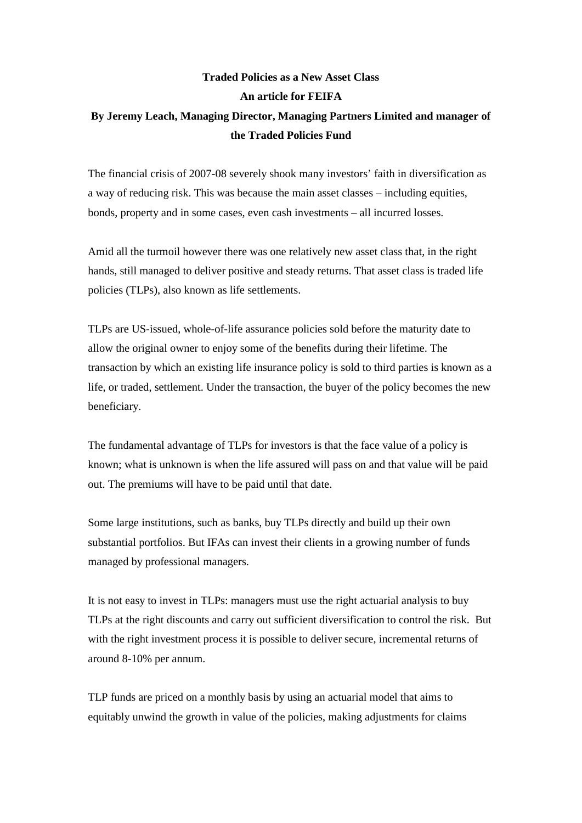## **Traded Policies as a New Asset Class An article for FEIFA By Jeremy Leach, Managing Director, Managing Partners Limited and manager of the Traded Policies Fund**

The financial crisis of 2007-08 severely shook many investors' faith in diversification as a way of reducing risk. This was because the main asset classes – including equities, bonds, property and in some cases, even cash investments – all incurred losses.

Amid all the turmoil however there was one relatively new asset class that, in the right hands, still managed to deliver positive and steady returns. That asset class is traded life policies (TLPs), also known as life settlements.

TLPs are US-issued, whole-of-life assurance policies sold before the maturity date to allow the original owner to enjoy some of the benefits during their lifetime. The transaction by which an existing life insurance policy is sold to third parties is known as a life, or traded, settlement. Under the transaction, the buyer of the policy becomes the new beneficiary.

The fundamental advantage of TLPs for investors is that the face value of a policy is known; what is unknown is when the life assured will pass on and that value will be paid out. The premiums will have to be paid until that date.

Some large institutions, such as banks, buy TLPs directly and build up their own substantial portfolios. But IFAs can invest their clients in a growing number of funds managed by professional managers.

It is not easy to invest in TLPs: managers must use the right actuarial analysis to buy TLPs at the right discounts and carry out sufficient diversification to control the risk. But with the right investment process it is possible to deliver secure, incremental returns of around 8-10% per annum.

TLP funds are priced on a monthly basis by using an actuarial model that aims to equitably unwind the growth in value of the policies, making adjustments for claims